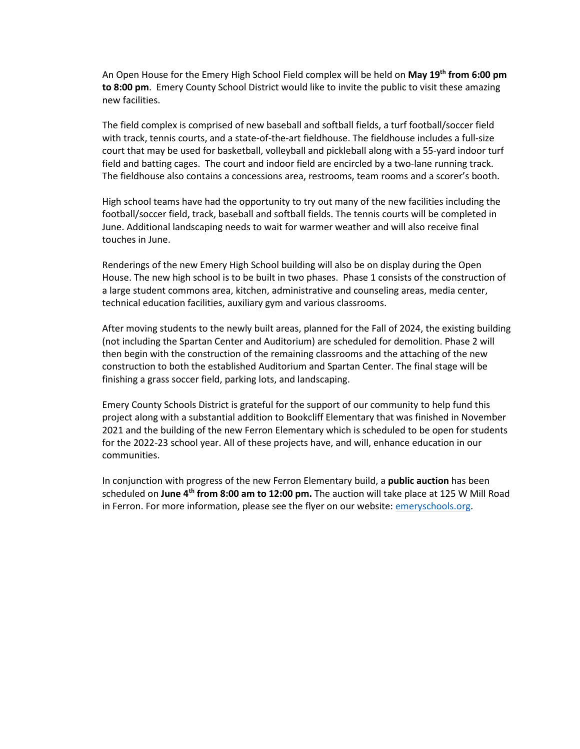An Open House for the Emery High School Field complex will be held on **May 19th from 6:00 pm to 8:00 pm**. Emery County School District would like to invite the public to visit these amazing new facilities.

The field complex is comprised of new baseball and softball fields, a turf football/soccer field with track, tennis courts, and a state-of-the-art fieldhouse. The fieldhouse includes a full-size court that may be used for basketball, volleyball and pickleball along with a 55-yard indoor turf field and batting cages. The court and indoor field are encircled by a two-lane running track. The fieldhouse also contains a concessions area, restrooms, team rooms and a scorer's booth.

High school teams have had the opportunity to try out many of the new facilities including the football/soccer field, track, baseball and softball fields. The tennis courts will be completed in June. Additional landscaping needs to wait for warmer weather and will also receive final touches in June.

Renderings of the new Emery High School building will also be on display during the Open House. The new high school is to be built in two phases. Phase 1 consists of the construction of a large student commons area, kitchen, administrative and counseling areas, media center, technical education facilities, auxiliary gym and various classrooms.

After moving students to the newly built areas, planned for the Fall of 2024, the existing building (not including the Spartan Center and Auditorium) are scheduled for demolition. Phase 2 will then begin with the construction of the remaining classrooms and the attaching of the new construction to both the established Auditorium and Spartan Center. The final stage will be finishing a grass soccer field, parking lots, and landscaping.

Emery County Schools District is grateful for the support of our community to help fund this project along with a substantial addition to Bookcliff Elementary that was finished in November 2021 and the building of the new Ferron Elementary which is scheduled to be open for students for the 2022-23 school year. All of these projects have, and will, enhance education in our communities.

In conjunction with progress of the new Ferron Elementary build, a **public auction** has been scheduled on **June 4th from 8:00 am to 12:00 pm.** The auction will take place at 125 W Mill Road in Ferron. For more information, please see the flyer on our website: **emeryschools.org**.